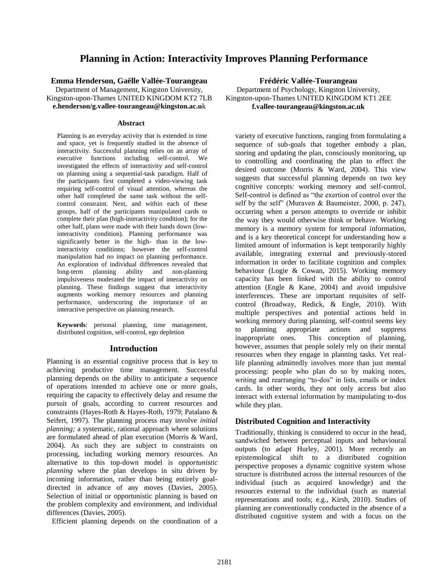# **Planning in Action: Interactivity Improves Planning Performance**

**Emma Henderson, Gaëlle Vallée-Tourangeau**

Department of Management, Kingston University, Kingston-upon-Thames UNITED KINGDOM KT2 7LB **e.henderson/g.vallee-tourangeau@kingston.ac.u**k

#### **Abstract**

Planning is an everyday activity that is extended in time and space, yet is frequently studied in the absence of interactivity. Successful planning relies on an array of executive functions including self-control. We investigated the effects of interactivity and self-control on planning using a sequential-task paradigm. Half of the participants first completed a video-viewing task requiring self-control of visual attention, whereas the other half completed the same task without the selfcontrol constraint. Next, and within each of these groups, half of the participants manipulated cards to complete their plan (high-interactivity condition); for the other half, plans were made with their hands down (lowinteractivity condition). Planning performance was significantly better in the high- than in the lowinteractivity conditions; however the self-control manipulation had no impact on planning performance. An exploration of individual differences revealed that long-term planning ability and non-planning impulsiveness moderated the impact of interactivity on planning. These findings suggest that interactivity augments working memory resources and planning performance, underscoring the importance of an interactive perspective on planning research.

**Keywords**: personal planning, time management, distributed cognition, self-control, ego depletion

### **Introduction**

Planning is an essential cognitive process that is key to achieving productive time management. Successful planning depends on the ability to anticipate a sequence of operations intended to achieve one or more goals, requiring the capacity to effectively delay and resume the pursuit of goals, according to current resources and constraints (Hayes-Roth & Hayes-Roth, 1979; Patalano & Seifert, 1997). The planning process may involve *initial planning;* a systematic, rational approach where solutions are formulated ahead of plan execution (Morris & Ward, 2004). As such they are subject to constraints on processing, including working memory resources. An alternative to this top-down model is *opportunistic planning* where the plan develops in situ driven by incoming information, rather than being entirely goaldirected in advance of any moves (Davies, 2005). Selection of initial or opportunistic planning is based on the problem complexity and environment, and individual differences (Davies, 2005).

Efficient planning depends on the coordination of a

**Frédéric Vallée-Tourangeau**

Department of Psychology, Kingston University, Kingston-upon-Thames UNITED KINGDOM KT1 2EE **f.vallee-tourangeau@kingston.ac.uk**

variety of executive functions, ranging from formulating a sequence of sub-goals that together embody a plan, storing and updating the plan, consciously monitoring, up to controlling and coordinating the plan to effect the desired outcome (Morris & Ward, 2004). This view suggests that successful planning depends on two key cognitive concepts: working memory and self-control. Self-control is defined as "the exertion of control over the self by the self" (Muraven & Baumeister, 2000, p. 247), occurring when a person attempts to override or inhibit the way they would otherwise think or behave. Working memory is a memory system for temporal information, and is a key theoretical concept for understanding how a limited amount of information is kept temporarily highly available, integrating external and previously-stored information in order to facilitate cognition and complex behaviour (Logie & Cowan, 2015). Working memory capacity has been linked with the ability to control attention (Engle & Kane, 2004) and avoid impulsive interferences. These are important requisites of selfcontrol (Broadway, Redick, & Engle, 2010). With multiple perspectives and potential actions held in working memory during planning, self-control seems key to planning appropriate actions and suppress inappropriate ones. This conception of planning, however, assumes that people solely rely on their mental resources when they engage in planning tasks. Yet reallife planning admittedly involves more than just mental processing: people who plan do so by making notes, writing and rearranging "to-dos" in lists, emails or index cards. In other words, they not only access but also interact with external information by manipulating to-dos while they plan.

### **Distributed Cognition and Interactivity**

Traditionally, thinking is considered to occur in the head, sandwiched between perceptual inputs and behavioural outputs (to adapt Hurley, 2001). More recently an epistemological shift to a distributed cognition perspective proposes a dynamic cognitive system whose structure is distributed across the internal resources of the individual (such as acquired knowledge) and the resources external to the individual (such as material representations and tools; e.g., Kirsh, 2010). Studies of planning are conventionally conducted in the absence of a distributed cognitive system and with a focus on the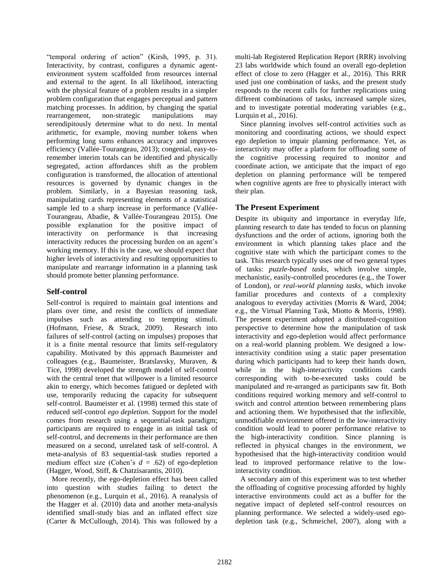"temporal ordering of action" (Kirsh, 1995, p. 31). Interactivity, by contrast, configures a dynamic agentenvironment system scaffolded from resources internal and external to the agent. In all likelihood, interacting with the physical feature of a problem results in a simpler problem configuration that engages perceptual and pattern matching processes. In addition, by changing the spatial rearrangement, non-strategic manipulations may serendipitously determine what to do next. In mental arithmetic, for example, moving number tokens when performing long sums enhances accuracy and improves efficiency (Vallée-Tourangeau, 2013); congenial, easy-toremember interim totals can be identified and physically segregated, action affordances shift as the problem configuration is transformed, the allocation of attentional resources is governed by dynamic changes in the problem. Similarly, in a Bayesian reasoning task, manipulating cards representing elements of a statistical sample led to a sharp increase in performance (Vallée-Tourangeau, Abadie, & Vallée-Tourangeau 2015). One possible explanation for the positive impact of interactivity on performance is that increasing interactivity reduces the processing burden on an agent's working memory. If this is the case, we should expect that higher levels of interactivity and resulting opportunities to manipulate and rearrange information in a planning task should promote better planning performance.

# **Self-control**

Self-control is required to maintain goal intentions and plans over time, and resist the conflicts of immediate impulses such as attending to tempting stimuli. (Hofmann, Friese, & Strack, 2009). Research into failures of self-control (acting on impulses) proposes that it is a finite mental resource that limits self-regulatory capability. Motivated by this approach Baumeister and colleagues (e.g., Baumeister, Bratslavsky, Muraven, & Tice, 1998) developed the strength model of self-control with the central tenet that willpower is a limited resource akin to energy, which becomes fatigued or depleted with use, temporarily reducing the capacity for subsequent self-control. Baumeister et al. (1998) termed this state of reduced self-control *ego depletion*. Support for the model comes from research using a sequential-task paradigm; participants are required to engage in an initial task of self-control, and decrements in their performance are then measured on a second, unrelated task of self-control. A meta-analysis of 83 sequential-task studies reported a medium effect size (Cohen's *d* = .62) of ego-depletion (Hagger, Wood, Stiff, & Chatzisarantis, 2010).

More recently, the ego-depletion effect has been called into question with studies failing to detect the phenomenon (e.g., Lurquin et al., 2016). A reanalysis of the Hagger et al. (2010) data and another meta-analysis identified small-study bias and an inflated effect size (Carter & McCullough, 2014). This was followed by a

multi-lab Registered Replication Report (RRR) involving 23 labs worldwide which found an overall ego-depletion effect of close to zero (Hagger et al., 2016). This RRR used just one combination of tasks, and the present study responds to the recent calls for further replications using different combinations of tasks, increased sample sizes, and to investigate potential moderating variables (e.g., Lurquin et al., 2016).

Since planning involves self-control activities such as monitoring and coordinating actions, we should expect ego depletion to impair planning performance. Yet, as interactivity may offer a platform for offloading some of the cognitive processing required to monitor and coordinate action, we anticipate that the impact of ego depletion on planning performance will be tempered when cognitive agents are free to physically interact with their plan.

# **The Present Experiment**

Despite its ubiquity and importance in everyday life, planning research to date has tended to focus on planning dysfunctions and the order of actions, ignoring both the environment in which planning takes place and the cognitive state with which the participant comes to the task. This research typically uses one of two general types of tasks: *puzzle-based tasks*, which involve simple, mechanistic, easily-controlled procedures (e.g., the Tower of London), or *real-world planning tasks*, which invoke familiar procedures and contexts of a complexity analogous to everyday activities (Morris & Ward, 2004; e.g., the Virtual Planning Task, Miotto & Morris, 1998). The present experiment adopted a distributed-cognition perspective to determine how the manipulation of task interactivity and ego-depletion would affect performance on a real-world planning problem. We designed a lowinteractivity condition using a static paper presentation during which participants had to keep their hands down, while in the high-interactivity conditions cards corresponding with to-be-executed tasks could be manipulated and re-arranged as participants saw fit. Both conditions required working memory and self-control to switch and control attention between remembering plans and actioning them. We hypothesised that the inflexible, unmodifiable environment offered in the low-interactivity condition would lead to poorer performance relative to the high-interactivity condition. Since planning is reflected in physical changes in the environment, we hypothesised that the high-interactivity condition would lead to improved performance relative to the lowinteractivity condition.

A secondary aim of this experiment was to test whether the offloading of cognitive processing afforded by highly interactive environments could act as a buffer for the negative impact of depleted self-control resources on planning performance. We selected a widely-used egodepletion task (e.g., Schmeichel, 2007), along with a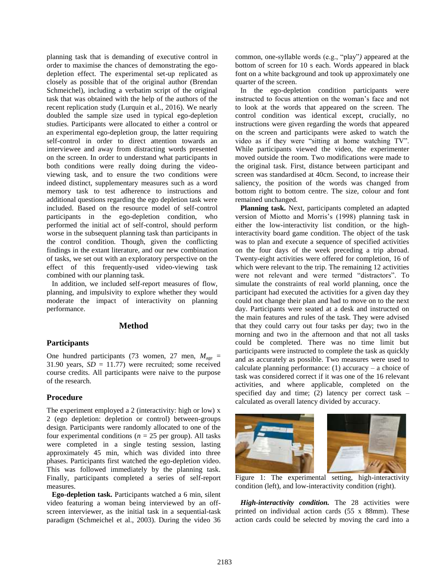planning task that is demanding of executive control in order to maximise the chances of demonstrating the egodepletion effect. The experimental set-up replicated as closely as possible that of the original author (Brendan Schmeichel), including a verbatim script of the original task that was obtained with the help of the authors of the recent replication study (Lurquin et al., 2016). We nearly doubled the sample size used in typical ego-depletion studies. Participants were allocated to either a control or an experimental ego-depletion group, the latter requiring self-control in order to direct attention towards an interviewee and away from distracting words presented on the screen. In order to understand what participants in both conditions were really doing during the videoviewing task, and to ensure the two conditions were indeed distinct, supplementary measures such as a word memory task to test adherence to instructions and additional questions regarding the ego depletion task were included. Based on the resource model of self-control participants in the ego-depletion condition, who performed the initial act of self-control, should perform worse in the subsequent planning task than participants in the control condition. Though, given the conflicting findings in the extant literature, and our new combination of tasks, we set out with an exploratory perspective on the effect of this frequently-used video-viewing task combined with our planning task.

In addition, we included self-report measures of flow, planning, and impulsivity to explore whether they would moderate the impact of interactivity on planning performance.

## **Method**

#### **Participants**

One hundred participants (73 women, 27 men,  $M_{\text{age}} =$ 31.90 years,  $SD = 11.77$ ) were recruited; some received course credits. All participants were naive to the purpose of the research.

#### **Procedure**

The experiment employed a 2 (interactivity: high or low) x 2 (ego depletion: depletion or control) between-groups design. Participants were randomly allocated to one of the four experimental conditions ( $n = 25$  per group). All tasks were completed in a single testing session, lasting approximately 45 min, which was divided into three phases. Participants first watched the ego-depletion video. This was followed immediately by the planning task. Finally, participants completed a series of self-report measures.

**Ego-depletion task.** Participants watched a 6 min, silent video featuring a woman being interviewed by an offscreen interviewer, as the initial task in a sequential-task paradigm (Schmeichel et al., 2003). During the video 36 common, one-syllable words (e.g., "play"*)* appeared at the bottom of screen for 10 s each. Words appeared in black font on a white background and took up approximately one quarter of the screen.

In the ego-depletion condition participants were instructed to focus attention on the woman's face and not to look at the words that appeared on the screen. The control condition was identical except, crucially, no instructions were given regarding the words that appeared on the screen and participants were asked to watch the video as if they were "sitting at home watching TV". While participants viewed the video, the experimenter moved outside the room. Two modifications were made to the original task. First, distance between participant and screen was standardised at 40cm. Second, to increase their saliency, the position of the words was changed from bottom right to bottom centre. The size, colour and font remained unchanged.

**Planning task.** Next, participants completed an adapted version of Miotto and Morris's (1998) planning task in either the low-interactivity list condition, or the highinteractivity board game condition. The object of the task was to plan and execute a sequence of specified activities on the four days of the week preceding a trip abroad. Twenty-eight activities were offered for completion, 16 of which were relevant to the trip. The remaining 12 activities were not relevant and were termed "distractors". To simulate the constraints of real world planning, once the participant had executed the activities for a given day they could not change their plan and had to move on to the next day. Participants were seated at a desk and instructed on the main features and rules of the task. They were advised that they could carry out four tasks per day; two in the morning and two in the afternoon and that not all tasks could be completed. There was no time limit but participants were instructed to complete the task as quickly and as accurately as possible. Two measures were used to calculate planning performance:  $(1)$  accuracy – a choice of task was considered correct if it was one of the 16 relevant activities, and where applicable, completed on the specified day and time; (2) latency per correct task – calculated as overall latency divided by accuracy.



Figure 1: The experimental setting, high-interactivity condition (left), and low-interactivity condition (right).

*High-interactivity condition.* The 28 activities were printed on individual action cards (55 x 88mm). These action cards could be selected by moving the card into a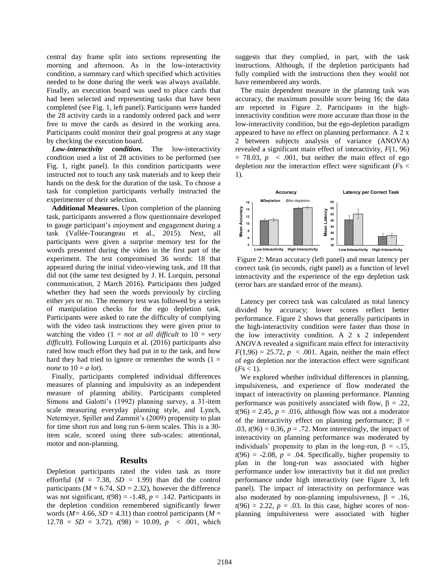central day frame split into sections representing the morning and afternoon. As in the low-interactivity condition, a summary card which specified which activities needed to be done during the week was always available. Finally, an execution board was used to place cards that had been selected and representing tasks that have been completed (see Fig. 1, left panel). Participants were handed the 28 activity cards in a randomly ordered pack and were free to move the cards as desired in the working area. Participants could monitor their goal progress at any stage by checking the execution board.

*Low-interactivity condition.* The low-interactivity condition used a list of 28 activities to be performed (see Fig. 1, right panel). In this condition participants were instructed not to touch any task materials and to keep their hands on the desk for the duration of the task. To choose a task for completion participants verbally instructed the experimenter of their selection.

**Additional Measures.** Upon completion of the planning task, participants answered a flow questionnaire developed to gauge participant's enjoyment and engagement during a task (Vallée-Tourangeau et al., 2015). Next, all participants were given a surprise memory test for the words presented during the video in the first part of the experiment. The test compromised 36 words: 18 that appeared during the initial video-viewing task, and 18 that did not (the same test designed by J. H. Lurquin, personal communication, 2 March 2016). Participants then judged whether they had seen the words previously by circling either *yes* or *no.* The memory test was followed by a series of manipulation checks for the ego depletion task. Participants were asked to rate the difficulty of complying with the video task instructions they were given prior to watching the video  $(1 = not at all difficult to 10 = very$ *difficult*). Following Lurquin et al. (2016) participants also rated how much effort they had put in to the task, and how hard they had tried to ignore or remember the words  $(1 =$ *none* to  $10 = a$  *lot*).

Finally, participants completed individual differences measures of planning and impulsivity as an independent measure of planning ability. Participants completed Simons and Galotti's (1992) planning survey, a 31-item scale measuring everyday planning style, and Lynch, Netemeyer, Spiller and Zammit's (2009) propensity to plan for time short run and long run 6-item scales. This is a 30 item scale, scored using three sub-scales: attentional, motor and non-planning.

#### **Results**

Depletion participants rated the video task as more effortful ( $M = 7.38$ ,  $SD = 1.99$ ) than did the control participants ( $M = 6.74$ ,  $SD = 2.32$ ), however the difference was not significant,  $t(98) = -1.48$ ,  $p = .142$ . Participants in the depletion condition remembered significantly fewer words ( $M = 4.66$ ,  $SD = 4.31$ ) than control participants ( $M =$  $12.78 = SD = 3.72$ ,  $t(98) = 10.09$ ,  $p < .001$ , which

suggests that they complied, in part, with the task instructions. Although, if the depletion participants had fully complied with the instructions then they would not have remembered any words.

The main dependent measure in the planning task was accuracy, the maximum possible score being 16; the data are reported in Figure 2. Participants in the highinteractivity condition were more accurate than those in the low-interactivity condition, but the ego-depletion paradigm appeared to have no effect on planning performance. A 2 x 2 between subjects analysis of variance (ANOVA) revealed a significant main effect of interactivity, *F*(1, 96)  $= 78.03$ ,  $p \leq .001$ , but neither the main effect of ego depletion nor the interaction effect were significant (*F*s < 1).



Figure 2: Mean accuracy (left panel) and mean latency per correct task (in seconds, right panel) as a function of level interactivity and the experience of the ego depletion task (error bars are standard error of the means).

Latency per correct task was calculated as total latency divided by accuracy; lower scores reflect better performance. Figure 2 shows that generally participants in the high-interactivity condition were faster than those in the low interactivity condition. A  $2 \times 2$  independent ANOVA revealed a significant main effect for interactivity  $F(1,96) = 25.72$ ,  $p \le 0.001$ . Again, neither the main effect of ego depletion nor the interaction effect were significant  $(Fs < 1)$ .

We explored whether individual differences in planning, impulsiveness, and experience of flow moderated the impact of interactivity on planning performance. Planning performance was positively associated with flow,  $\beta = .22$ ,  $t(96) = 2.45$ ,  $p = .016$ , although flow was not a moderator of the interactivity effect on planning performance;  $\beta =$ .03,  $t(96) = 0.36$ ,  $p = .72$ . More interestingly, the impact of interactivity on planning performance was moderated by individuals' propensity to plan in the long-run,  $\beta = -15$ ,  $t(96) = -2.08$ ,  $p = .04$ . Specifically, higher propensity to plan in the long-run was associated with higher performance under low interactivity but it did not predict performance under high interactivity (see Figure 3, left panel). The impact of interactivity on performance was also moderated by non-planning impulsiveness,  $\beta = .16$ ,  $t(96) = 2.22$ ,  $p = .03$ . In this case, higher scores of nonplanning impulsiveness were associated with higher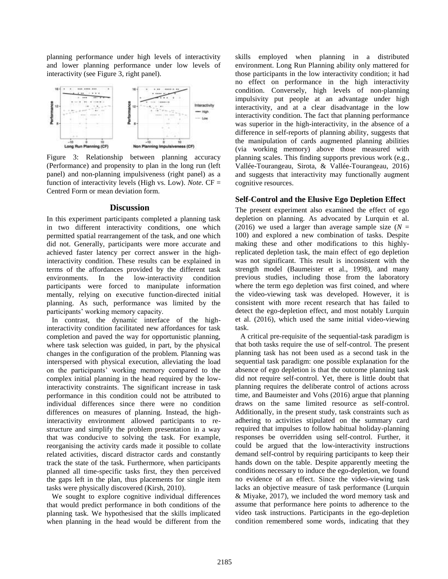planning performance under high levels of interactivity and lower planning performance under low levels of interactivity (see Figure 3, right panel).



Figure 3: Relationship between planning accuracy (Performance) and propensity to plan in the long run (left panel) and non-planning impulsiveness (right panel) as a function of interactivity levels (High vs. Low). *Note*. CF = Centred Form or mean deviation form.

### **Discussion**

In this experiment participants completed a planning task in two different interactivity conditions, one which permitted spatial rearrangement of the task, and one which did not. Generally, participants were more accurate and achieved faster latency per correct answer in the highinteractivity condition. These results can be explained in terms of the affordances provided by the different task environments. In the low-interactivity condition participants were forced to manipulate information mentally, relying on executive function-directed initial planning. As such, performance was limited by the participants' working memory capacity.

In contrast, the dynamic interface of the highinteractivity condition facilitated new affordances for task completion and paved the way for opportunistic planning, where task selection was guided, in part, by the physical changes in the configuration of the problem. Planning was interspersed with physical execution, alleviating the load on the participants' working memory compared to the complex initial planning in the head required by the lowinteractivity constraints. The significant increase in task performance in this condition could not be attributed to individual differences since there were no condition differences on measures of planning. Instead, the highinteractivity environment allowed participants to restructure and simplify the problem presentation in a way that was conducive to solving the task. For example, reorganising the activity cards made it possible to collate related activities, discard distractor cards and constantly track the state of the task. Furthermore, when participants planned all time-specific tasks first, they then perceived the gaps left in the plan, thus placements for single item tasks were physically discovered (Kirsh, 2010).

We sought to explore cognitive individual differences that would predict performance in both conditions of the planning task. We hypothesised that the skills implicated when planning in the head would be different from the skills employed when planning in a distributed environment. Long Run Planning ability only mattered for those participants in the low interactivity condition; it had no effect on performance in the high interactivity condition. Conversely, high levels of non-planning impulsivity put people at an advantage under high interactivity, and at a clear disadvantage in the low interactivity condition. The fact that planning performance was superior in the high-interactivity, in the absence of a difference in self-reports of planning ability, suggests that the manipulation of cards augmented planning abilities (via working memory) above those measured with planning scales. This finding supports previous work (e.g., Vallée-Tourangeau, Sirota, & Vallée-Tourangeau, 2016) and suggests that interactivity may functionally augment cognitive resources.

# **Self-Control and the Elusive Ego Depletion Effect**

The present experiment also examined the effect of ego depletion on planning. As advocated by Lurquin et al. (2016) we used a larger than average sample size  $(N =$ 100) and explored a new combination of tasks. Despite making these and other modifications to this highlyreplicated depletion task, the main effect of ego depletion was not significant. This result is inconsistent with the strength model (Baumeister et al., 1998), and many previous studies, including those from the laboratory where the term ego depletion was first coined, and where the video-viewing task was developed. However, it is consistent with more recent research that has failed to detect the ego-depletion effect, and most notably Lurquin et al. (2016), which used the same initial video-viewing task.

A critical pre-requisite of the sequential-task paradigm is that both tasks require the use of self-control. The present planning task has not been used as a second task in the sequential task paradigm: one possible explanation for the absence of ego depletion is that the outcome planning task did not require self-control. Yet, there is little doubt that planning requires the deliberate control of actions across time, and Baumeister and Vohs (2016) argue that planning draws on the same limited resource as self-control. Additionally, in the present study, task constraints such as adhering to activities stipulated on the summary card required that impulses to follow habitual holiday-planning responses be overridden using self-control. Further, it could be argued that the low-interactivity instructions demand self-control by requiring participants to keep their hands down on the table. Despite apparently meeting the conditions necessary to induce the ego-depletion, we found no evidence of an effect. Since the video-viewing task lacks an objective measure of task performance (Lurquin & Miyake, 2017), we included the word memory task and assume that performance here points to adherence to the video task instructions. Participants in the ego-depletion condition remembered some words, indicating that they